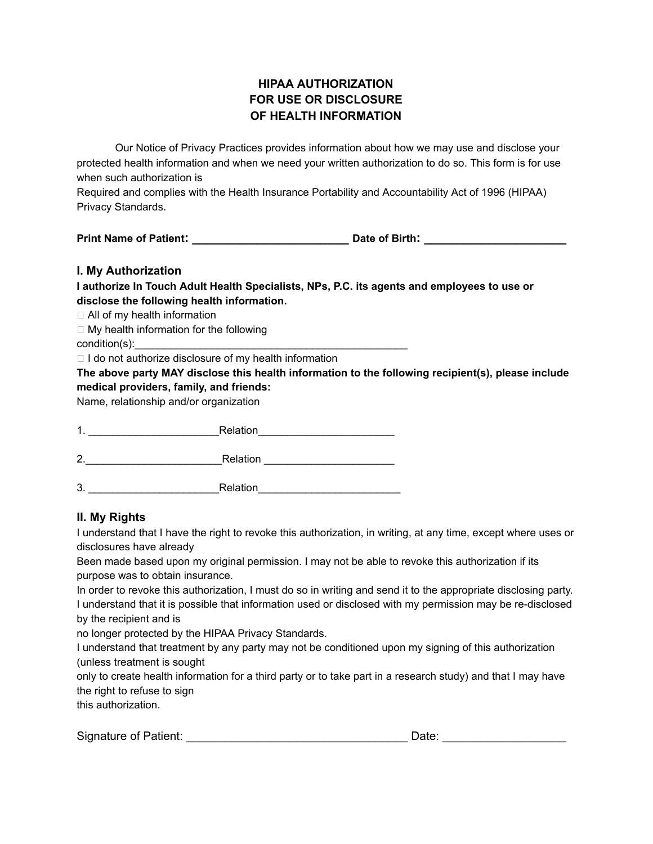# **HIPAA AUTHORIZATION FOR USE OR DISCLOSURE OF HEALTH INFORMATION**

Our Notice of Privacy Practices provides information about how we may use and disclose your protected health information and when we need your written authorization to do so. This form is for use when such authorization is

Required and complies with the Health Insurance Portability and Accountability Act of 1996 (HIPAA) Privacy Standards.

**Print Name of Patient: \_\_\_\_\_\_\_\_\_\_\_\_\_\_\_\_\_\_\_\_\_\_ Date of Birth: \_\_\_\_\_\_\_\_\_\_\_\_\_\_\_\_\_\_\_\_**

### **I. My Authorization**

**I authorize In Touch Adult Health Specialists, NPs, P.C. its agents and employees to use or disclose the following health information.**

□ All of my health information

 $\Box$  My health information for the following condition(s):

 $\Box$  I do not authorize disclosure of my health information

**The above party MAY disclose this health information to the following recipient(s), please include medical providers, family, and friends:**

Name, relationship and/or organization

| 1  | Relation |  |
|----|----------|--|
| 2  | Relation |  |
| 3. | Relation |  |

## **II. My Rights**

I understand that I have the right to revoke this authorization, in writing, at any time, except where uses or disclosures have already

Been made based upon my original permission. I may not be able to revoke this authorization if its purpose was to obtain insurance.

In order to revoke this authorization, I must do so in writing and send it to the appropriate disclosing party. I understand that it is possible that information used or disclosed with my permission may be re-disclosed by the recipient and is

no longer protected by the HIPAA Privacy Standards.

I understand that treatment by any party may not be conditioned upon my signing of this authorization (unless treatment is sought

only to create health information for a third party or to take part in a research study) and that I may have the right to refuse to sign

this authorization.

| <b>Signature of Patient:</b> | Jate |
|------------------------------|------|
|                              |      |